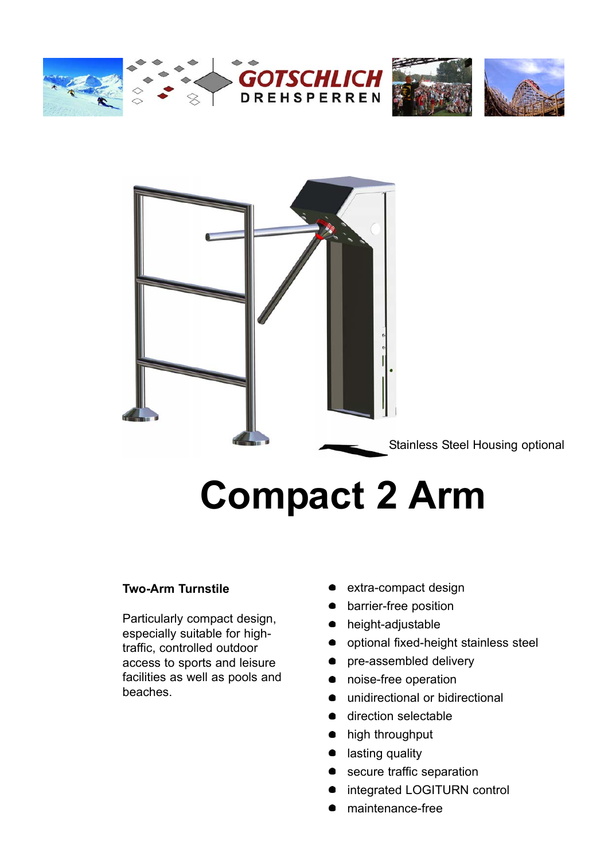







Stainless Steel Housing optional

# **Compact 2 Arm**

#### **Two-Arm Turnstile**

Particularly compact design, especially suitable for hightraffic, controlled outdoor access to sports and leisure facilities as well as pools and beaches.

- **extra-compact design**
- **•** barrier-free position
- height-adjustable  $\bullet$
- **•** optional fixed-height stainless steel
- $\bullet$ pre-assembled delivery
- noise-free operation  $\bullet$
- unidirectional or bidirectional
- direction selectable  $\bullet$
- high throughput
- lasting quality
- secure traffic separation
- **n** integrated LOGITURN control
- maintenance-free